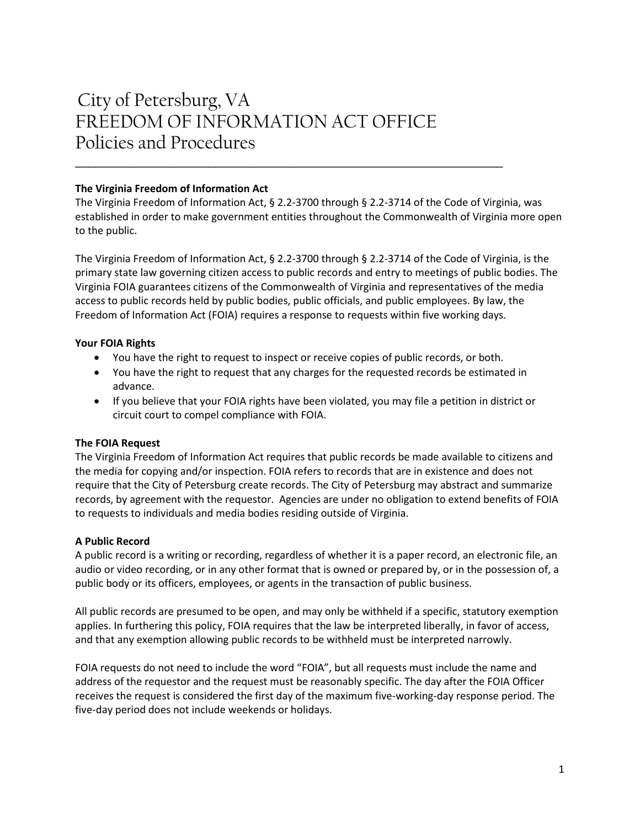# City of Petersburg, VA FREEDOM OF INFORMATION ACT OFFICE Policies and Procedures

### **The Virginia Freedom of Information Act**

The Virginia Freedom of Information Act, § 2.2-3700 through § 2.2-3714 of the Code of Virginia, was established in order to make government entities throughout the Commonwealth of Virginia more open to the public.

\_\_\_\_\_\_\_\_\_\_\_\_\_\_\_\_\_\_\_\_\_\_\_\_\_\_\_\_\_\_\_\_\_\_\_\_\_\_\_\_\_\_\_\_\_\_\_\_\_\_\_\_\_\_\_\_\_\_\_\_\_\_\_\_

The Virginia Freedom of Information Act, § 2.2-3700 through § 2.2-3714 of the Code of Virginia, is the primary state law governing citizen access to public records and entry to meetings of public bodies. The Virginia FOIA guarantees citizens of the Commonwealth of Virginia and representatives of the media access to public records held by public bodies, public officials, and public employees. By law, the Freedom of Information Act (FOIA) requires a response to requests within five working days.

## **Your FOIA Rights**

- You have the right to request to inspect or receive copies of public records, or both.
- You have the right to request that any charges for the requested records be estimated in advance.
- If you believe that your FOIA rights have been violated, you may file a petition in district or circuit court to compel compliance with FOIA.

# **The FOIA Request**

The Virginia Freedom of Information Act requires that public records be made available to citizens and the media for copying and/or inspection. FOIA refers to records that are in existence and does not require that the City of Petersburg create records. The City of Petersburg may abstract and summarize records, by agreement with the requestor. Agencies are under no obligation to extend benefits of FOIA to requests to individuals and media bodies residing outside of Virginia.

#### **A Public Record**

A public record is a writing or recording, regardless of whether it is a paper record, an electronic file, an audio or video recording, or in any other format that is owned or prepared by, or in the possession of, a public body or its officers, employees, or agents in the transaction of public business.

All public records are presumed to be open, and may only be withheld if a specific, statutory exemption applies. In furthering this policy, FOIA requires that the law be interpreted liberally, in favor of access, and that any exemption allowing public records to be withheld must be interpreted narrowly.

FOIA requests do not need to include the word "FOIA", but all requests must include the name and address of the requestor and the request must be reasonably specific. The day after the FOIA Officer receives the request is considered the first day of the maximum five-working-day response period. The five-day period does not include weekends or holidays.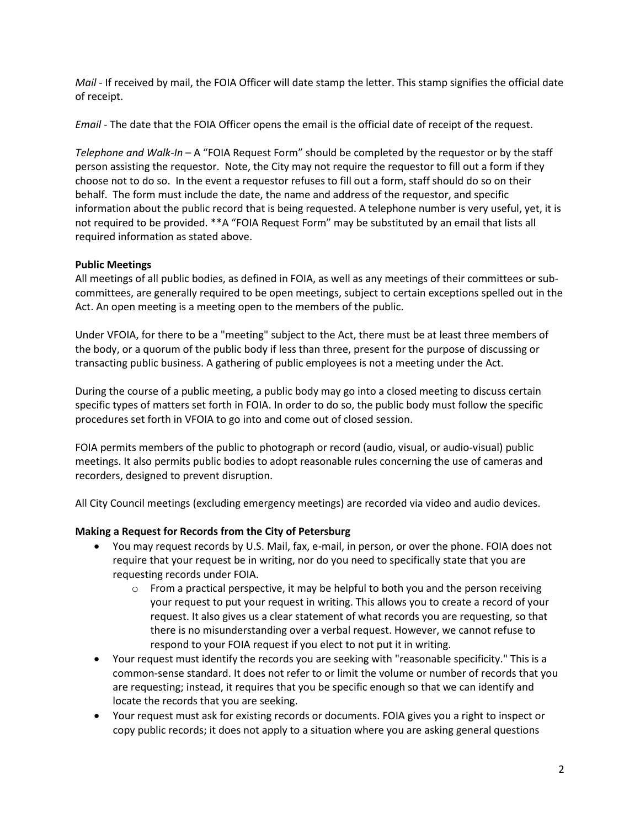*Mail* - If received by mail, the FOIA Officer will date stamp the letter. This stamp signifies the official date of receipt.

*Email* - The date that the FOIA Officer opens the email is the official date of receipt of the request.

*Telephone and Walk-In* – A "FOIA Request Form" should be completed by the requestor or by the staff person assisting the requestor. Note, the City may not require the requestor to fill out a form if they choose not to do so. In the event a requestor refuses to fill out a form, staff should do so on their behalf. The form must include the date, the name and address of the requestor, and specific information about the public record that is being requested. A telephone number is very useful, yet, it is not required to be provided. \*\*A "FOIA Request Form" may be substituted by an email that lists all required information as stated above.

## **Public Meetings**

All meetings of all public bodies, as defined in FOIA, as well as any meetings of their committees or subcommittees, are generally required to be open meetings, subject to certain exceptions spelled out in the Act. An open meeting is a meeting open to the members of the public.

Under VFOIA, for there to be a "meeting" subject to the Act, there must be at least three members of the body, or a quorum of the public body if less than three, present for the purpose of discussing or transacting public business. A gathering of public employees is not a meeting under the Act.

During the course of a public meeting, a public body may go into a closed meeting to discuss certain specific types of matters set forth in FOIA. In order to do so, the public body must follow the specific procedures set forth in VFOIA to go into and come out of closed session.

FOIA permits members of the public to photograph or record (audio, visual, or audio-visual) public meetings. It also permits public bodies to adopt reasonable rules concerning the use of cameras and recorders, designed to prevent disruption.

All City Council meetings (excluding emergency meetings) are recorded via video and audio devices.

# **Making a Request for Records from the City of Petersburg**

- You may request records by U.S. Mail, fax, e-mail, in person, or over the phone. FOIA does not require that your request be in writing, nor do you need to specifically state that you are requesting records under FOIA.
	- $\circ$  From a practical perspective, it may be helpful to both you and the person receiving your request to put your request in writing. This allows you to create a record of your request. It also gives us a clear statement of what records you are requesting, so that there is no misunderstanding over a verbal request. However, we cannot refuse to respond to your FOIA request if you elect to not put it in writing.
- Your request must identify the records you are seeking with "reasonable specificity." This is a common-sense standard. It does not refer to or limit the volume or number of records that you are requesting; instead, it requires that you be specific enough so that we can identify and locate the records that you are seeking.
- Your request must ask for existing records or documents. FOIA gives you a right to inspect or copy public records; it does not apply to a situation where you are asking general questions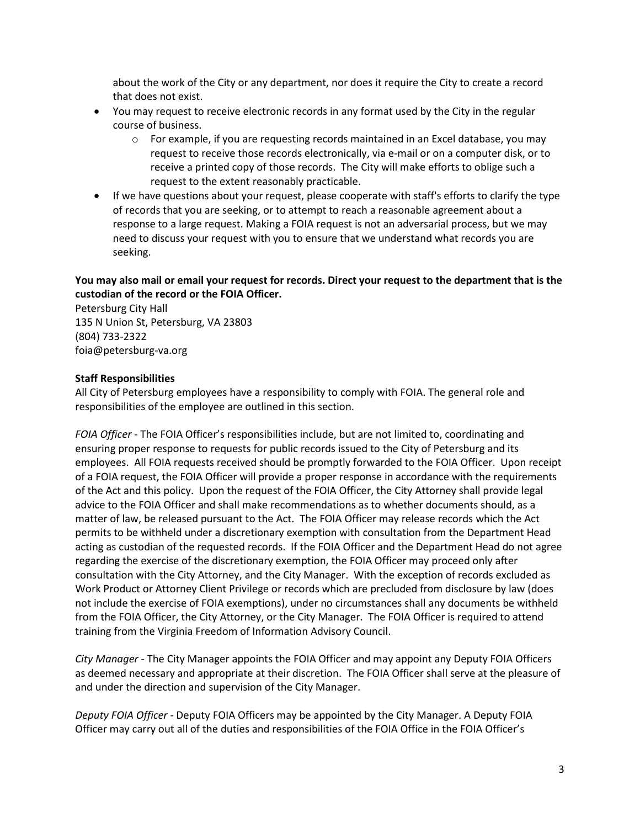about the work of the City or any department, nor does it require the City to create a record that does not exist.

- You may request to receive electronic records in any format used by the City in the regular course of business.
	- $\circ$  For example, if you are requesting records maintained in an Excel database, you may request to receive those records electronically, via e-mail or on a computer disk, or to receive a printed copy of those records. The City will make efforts to oblige such a request to the extent reasonably practicable.
- If we have questions about your request, please cooperate with staff's efforts to clarify the type of records that you are seeking, or to attempt to reach a reasonable agreement about a response to a large request. Making a FOIA request is not an adversarial process, but we may need to discuss your request with you to ensure that we understand what records you are seeking.

# **You may also mail or email your request for records. Direct your request to the department that is the custodian of the record or the FOIA Officer.**

Petersburg City Hall 135 N Union St, Petersburg, VA 23803 (804) 733-2322 foia@petersburg-va.org

#### **Staff Responsibilities**

All City of Petersburg employees have a responsibility to comply with FOIA. The general role and responsibilities of the employee are outlined in this section.

*FOIA Officer* - The FOIA Officer's responsibilities include, but are not limited to, coordinating and ensuring proper response to requests for public records issued to the City of Petersburg and its employees. All FOIA requests received should be promptly forwarded to the FOIA Officer. Upon receipt of a FOIA request, the FOIA Officer will provide a proper response in accordance with the requirements of the Act and this policy. Upon the request of the FOIA Officer, the City Attorney shall provide legal advice to the FOIA Officer and shall make recommendations as to whether documents should, as a matter of law, be released pursuant to the Act. The FOIA Officer may release records which the Act permits to be withheld under a discretionary exemption with consultation from the Department Head acting as custodian of the requested records. If the FOIA Officer and the Department Head do not agree regarding the exercise of the discretionary exemption, the FOIA Officer may proceed only after consultation with the City Attorney, and the City Manager. With the exception of records excluded as Work Product or Attorney Client Privilege or records which are precluded from disclosure by law (does not include the exercise of FOIA exemptions), under no circumstances shall any documents be withheld from the FOIA Officer, the City Attorney, or the City Manager. The FOIA Officer is required to attend training from the Virginia Freedom of Information Advisory Council.

*City Manager* - The City Manager appoints the FOIA Officer and may appoint any Deputy FOIA Officers as deemed necessary and appropriate at their discretion. The FOIA Officer shall serve at the pleasure of and under the direction and supervision of the City Manager.

*Deputy FOIA Officer* - Deputy FOIA Officers may be appointed by the City Manager. A Deputy FOIA Officer may carry out all of the duties and responsibilities of the FOIA Office in the FOIA Officer's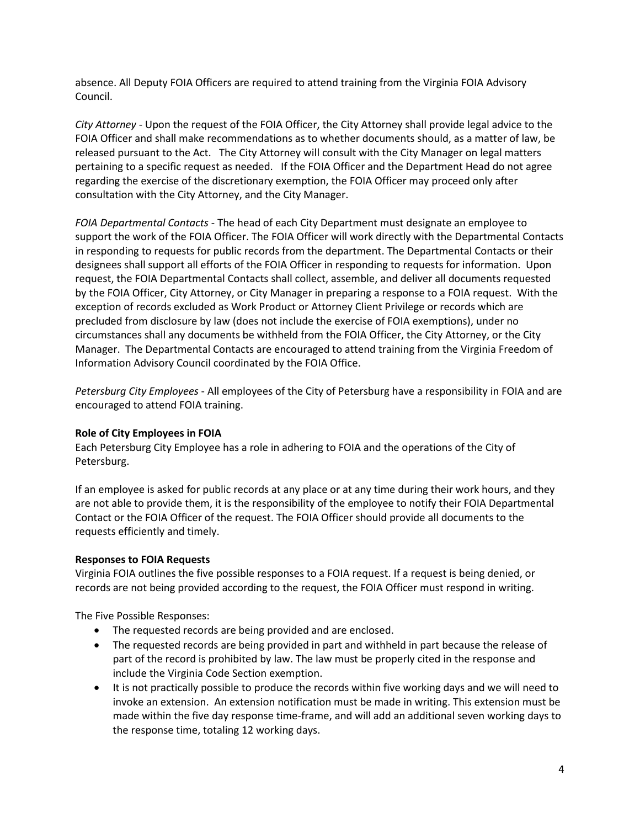absence. All Deputy FOIA Officers are required to attend training from the Virginia FOIA Advisory Council.

*City Attorney* - Upon the request of the FOIA Officer, the City Attorney shall provide legal advice to the FOIA Officer and shall make recommendations as to whether documents should, as a matter of law, be released pursuant to the Act. The City Attorney will consult with the City Manager on legal matters pertaining to a specific request as needed. If the FOIA Officer and the Department Head do not agree regarding the exercise of the discretionary exemption, the FOIA Officer may proceed only after consultation with the City Attorney, and the City Manager.

*FOIA Departmental Contacts* - The head of each City Department must designate an employee to support the work of the FOIA Officer. The FOIA Officer will work directly with the Departmental Contacts in responding to requests for public records from the department. The Departmental Contacts or their designees shall support all efforts of the FOIA Officer in responding to requests for information. Upon request, the FOIA Departmental Contacts shall collect, assemble, and deliver all documents requested by the FOIA Officer, City Attorney, or City Manager in preparing a response to a FOIA request. With the exception of records excluded as Work Product or Attorney Client Privilege or records which are precluded from disclosure by law (does not include the exercise of FOIA exemptions), under no circumstances shall any documents be withheld from the FOIA Officer, the City Attorney, or the City Manager. The Departmental Contacts are encouraged to attend training from the Virginia Freedom of Information Advisory Council coordinated by the FOIA Office.

*Petersburg City Employees* - All employees of the City of Petersburg have a responsibility in FOIA and are encouraged to attend FOIA training.

#### **Role of City Employees in FOIA**

Each Petersburg City Employee has a role in adhering to FOIA and the operations of the City of Petersburg.

If an employee is asked for public records at any place or at any time during their work hours, and they are not able to provide them, it is the responsibility of the employee to notify their FOIA Departmental Contact or the FOIA Officer of the request. The FOIA Officer should provide all documents to the requests efficiently and timely.

#### **Responses to FOIA Requests**

Virginia FOIA outlines the five possible responses to a FOIA request. If a request is being denied, or records are not being provided according to the request, the FOIA Officer must respond in writing.

The Five Possible Responses:

- The requested records are being provided and are enclosed.
- The requested records are being provided in part and withheld in part because the release of part of the record is prohibited by law. The law must be properly cited in the response and include the Virginia Code Section exemption.
- It is not practically possible to produce the records within five working days and we will need to invoke an extension. An extension notification must be made in writing. This extension must be made within the five day response time-frame, and will add an additional seven working days to the response time, totaling 12 working days.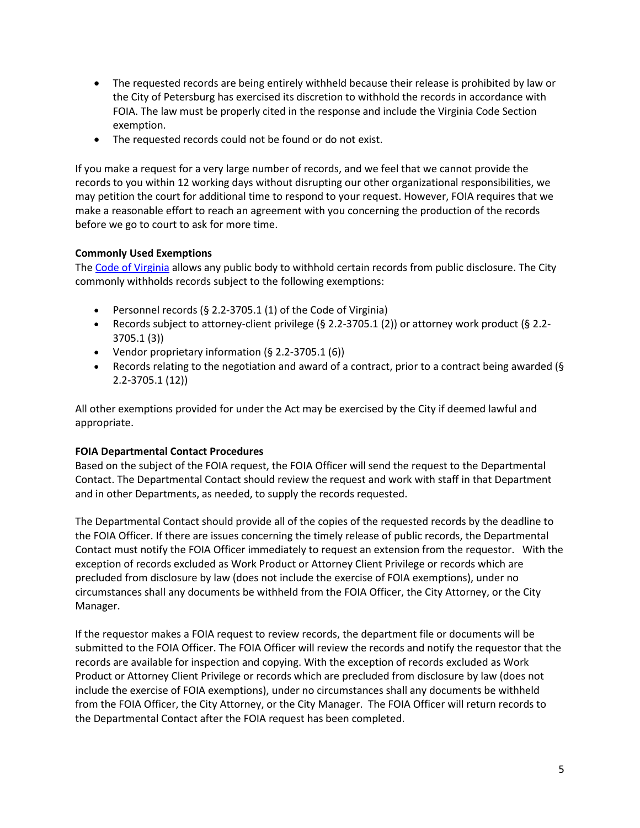- The requested records are being entirely withheld because their release is prohibited by law or the City of Petersburg has exercised its discretion to withhold the records in accordance with FOIA. The law must be properly cited in the response and include the Virginia Code Section exemption.
- The requested records could not be found or do not exist.

If you make a request for a very large number of records, and we feel that we cannot provide the records to you within 12 working days without disrupting our other organizational responsibilities, we may petition the court for additional time to respond to your request. However, FOIA requires that we make a reasonable effort to reach an agreement with you concerning the production of the records before we go to court to ask for more time.

# **Commonly Used Exemptions**

The [Code of Virginia](http://foiacouncil.dls.virginia.gov/Applicability_Exemptions/Records_Exemptions.htm) allows any public body to withhold certain records from public disclosure. The City commonly withholds records subject to the following exemptions:

- Personnel records (§ 2.2-3705.1 (1) of the Code of Virginia)
- Records subject to attorney-client privilege (§ 2.2-3705.1 (2)) or attorney work product (§ 2.2- 3705.1 (3))
- Vendor proprietary information (§ 2.2-3705.1 (6))
- Records relating to the negotiation and award of a contract, prior to a contract being awarded ( $\S$ 2.2-3705.1 (12))

All other exemptions provided for under the Act may be exercised by the City if deemed lawful and appropriate.

#### **FOIA Departmental Contact Procedures**

Based on the subject of the FOIA request, the FOIA Officer will send the request to the Departmental Contact. The Departmental Contact should review the request and work with staff in that Department and in other Departments, as needed, to supply the records requested.

The Departmental Contact should provide all of the copies of the requested records by the deadline to the FOIA Officer. If there are issues concerning the timely release of public records, the Departmental Contact must notify the FOIA Officer immediately to request an extension from the requestor. With the exception of records excluded as Work Product or Attorney Client Privilege or records which are precluded from disclosure by law (does not include the exercise of FOIA exemptions), under no circumstances shall any documents be withheld from the FOIA Officer, the City Attorney, or the City Manager.

If the requestor makes a FOIA request to review records, the department file or documents will be submitted to the FOIA Officer. The FOIA Officer will review the records and notify the requestor that the records are available for inspection and copying. With the exception of records excluded as Work Product or Attorney Client Privilege or records which are precluded from disclosure by law (does not include the exercise of FOIA exemptions), under no circumstances shall any documents be withheld from the FOIA Officer, the City Attorney, or the City Manager. The FOIA Officer will return records to the Departmental Contact after the FOIA request has been completed.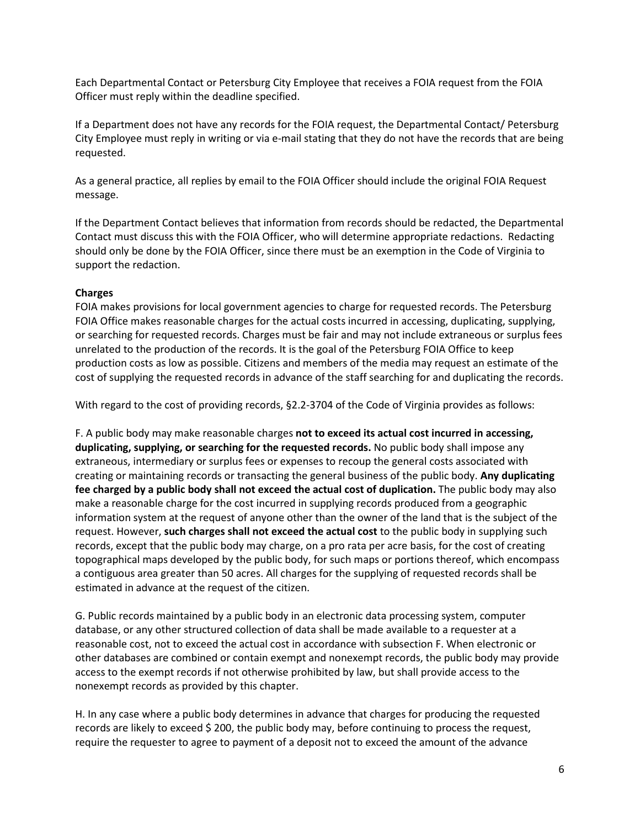Each Departmental Contact or Petersburg City Employee that receives a FOIA request from the FOIA Officer must reply within the deadline specified.

If a Department does not have any records for the FOIA request, the Departmental Contact/ Petersburg City Employee must reply in writing or via e-mail stating that they do not have the records that are being requested.

As a general practice, all replies by email to the FOIA Officer should include the original FOIA Request message.

If the Department Contact believes that information from records should be redacted, the Departmental Contact must discuss this with the FOIA Officer, who will determine appropriate redactions. Redacting should only be done by the FOIA Officer, since there must be an exemption in the Code of Virginia to support the redaction.

## **Charges**

FOIA makes provisions for local government agencies to charge for requested records. The Petersburg FOIA Office makes reasonable charges for the actual costs incurred in accessing, duplicating, supplying, or searching for requested records. Charges must be fair and may not include extraneous or surplus fees unrelated to the production of the records. It is the goal of the Petersburg FOIA Office to keep production costs as low as possible. Citizens and members of the media may request an estimate of the cost of supplying the requested records in advance of the staff searching for and duplicating the records.

With regard to the cost of providing records, §2.2-3704 of the Code of Virginia provides as follows:

F. A public body may make reasonable charges **not to exceed its actual cost incurred in accessing, duplicating, supplying, or searching for the requested records.** No public body shall impose any extraneous, intermediary or surplus fees or expenses to recoup the general costs associated with creating or maintaining records or transacting the general business of the public body. **Any duplicating fee charged by a public body shall not exceed the actual cost of duplication.** The public body may also make a reasonable charge for the cost incurred in supplying records produced from a geographic information system at the request of anyone other than the owner of the land that is the subject of the request. However, **such charges shall not exceed the actual cost** to the public body in supplying such records, except that the public body may charge, on a pro rata per acre basis, for the cost of creating topographical maps developed by the public body, for such maps or portions thereof, which encompass a contiguous area greater than 50 acres. All charges for the supplying of requested records shall be estimated in advance at the request of the citizen.

G. Public records maintained by a public body in an electronic data processing system, computer database, or any other structured collection of data shall be made available to a requester at a reasonable cost, not to exceed the actual cost in accordance with subsection F. When electronic or other databases are combined or contain exempt and nonexempt records, the public body may provide access to the exempt records if not otherwise prohibited by law, but shall provide access to the nonexempt records as provided by this chapter.

H. In any case where a public body determines in advance that charges for producing the requested records are likely to exceed \$200, the public body may, before continuing to process the request, require the requester to agree to payment of a deposit not to exceed the amount of the advance